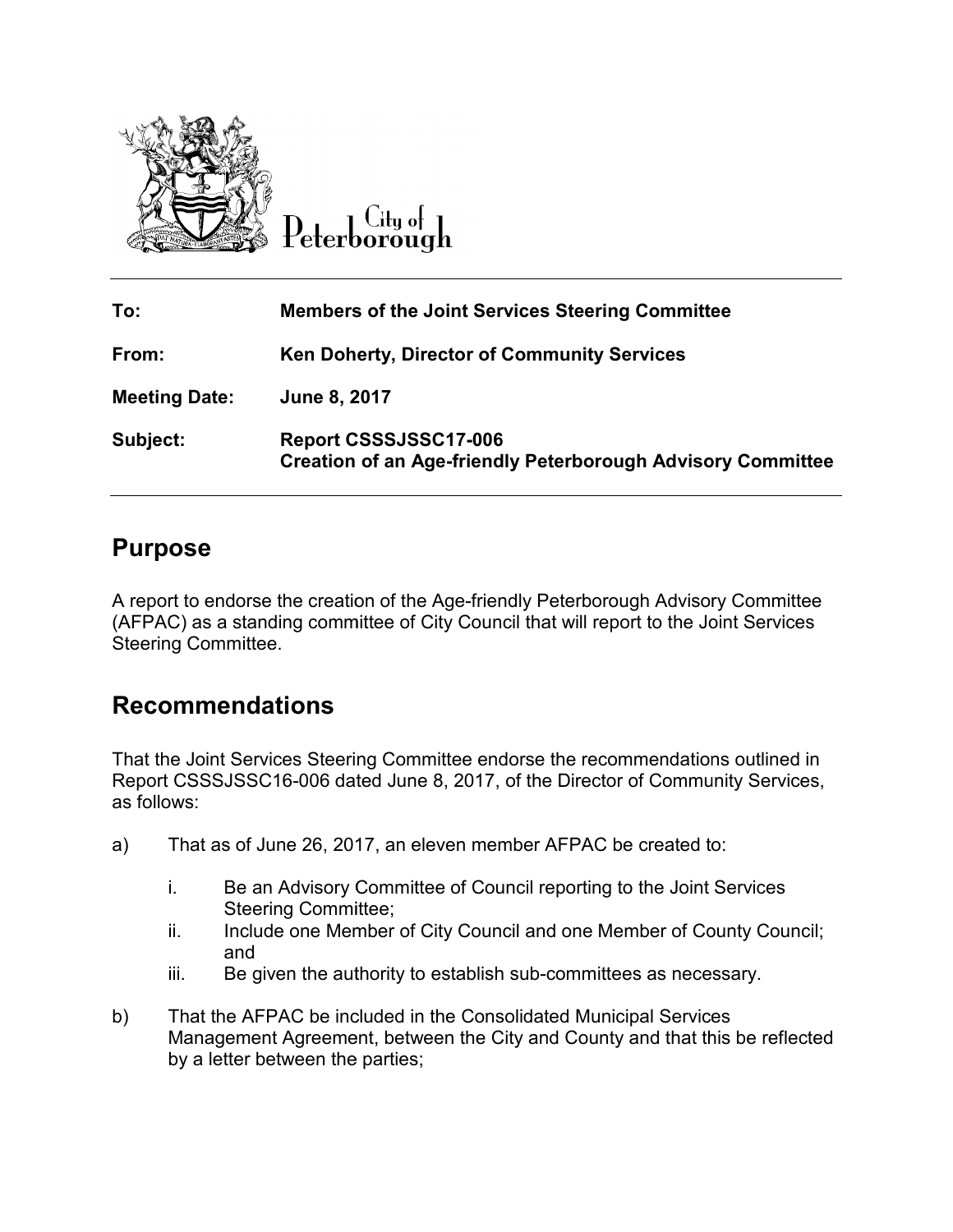

City of

| To:                  | <b>Members of the Joint Services Steering Committee</b>                                     |
|----------------------|---------------------------------------------------------------------------------------------|
| From:                | Ken Doherty, Director of Community Services                                                 |
| <b>Meeting Date:</b> | June 8, 2017                                                                                |
| Subject:             | Report CSSSJSSC17-006<br><b>Creation of an Age-friendly Peterborough Advisory Committee</b> |

## **Purpose**

A report to endorse the creation of the Age-friendly Peterborough Advisory Committee (AFPAC) as a standing committee of City Council that will report to the Joint Services Steering Committee. A report to endorse the creation of the Age-friendly Peterborough Advisory Committee<br>(AFPAC) as a standing committee of City Council that will report to the Joint Services<br>Steering Committee.<br>**Recommendations**<br>That the Joi

## **Recommendations**

Report CSSSJSSC16-006 dated June 8, 2017, of the Director of Community Services, as follows:

- a) That as of June 26, 2017, an eleven member AFPAC be created to:
	- i. Be an Advisory Committee of Council reporting to the Joint Services Steering Committee; i. Be an Advisory Committee of Council reporting to the Joint Services<br> Steering Committee;<br>ii. Include one Member of City Council and one Member of County Council;
	- and
	- iii. Be given the authority to establish sub-committees as necessary.
- iii. Be given the authority to establish sub-committees as necessa<br>b) That the AFPAC be included in the Consolidated Municipal Services Management Agreeme Agreement, between the City and County and that this be reflected by a letter between the parties;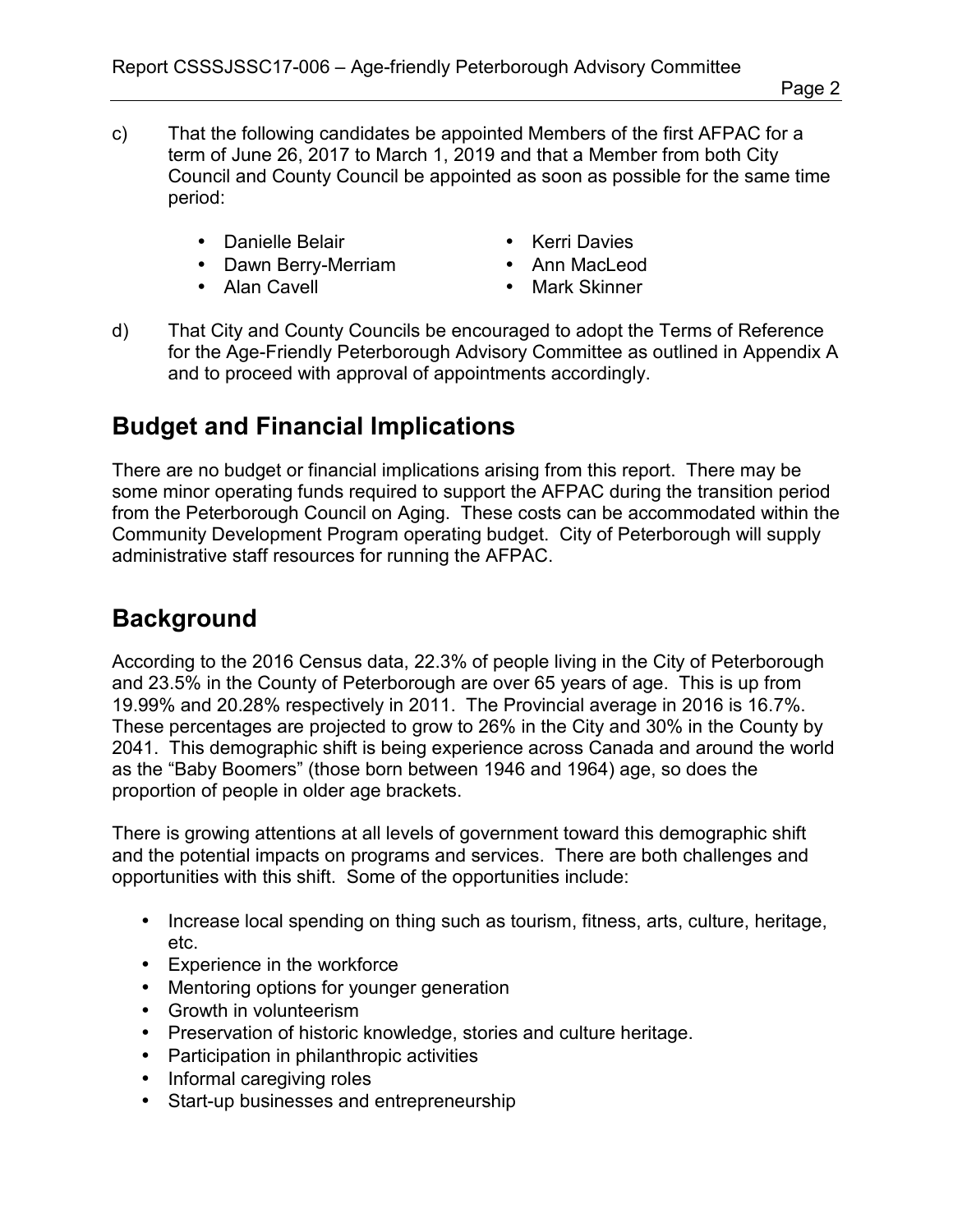- c) That the following candidates be appointed Members of the first AFPAC for a term of June 26, 2017 to March 1, 2019 and that a Member from both City Council and County Council be appointed as soon as possible for the same time period:
	- Danielle Belair
	- Dawn Berry-Merriam
	- Alan Cavell
- Kerri Davies
- Ann MacLeod
- Mark Skinner
- d) That City and County Councils be encouraged to adopt the Terms of Reference for the Age-Friendly Peterborough Advisory Committee as outlined in Appendix A and to proceed with approval of appointments accordingly.

# **Budget and Financial Implications**

There are no budget or financial implications arising from this report. There may be some minor operating funds required to support the AFPAC during the transition period from the Peterborough Council on Aging. These costs can be accommodated within the Community Development Program operating budget. City of Peterborough will supply administrative staff resources for running the AFPAC.

# **Background**

According to the 2016 Census data, 22.3% of people living in the City of Peterborough and 23.5% in the County of Peterborough are over 65 years of age. This is up from 19.99% and 20.28% respectively in 2011. The Provincial average in 2016 is 16.7%. These percentages are projected to grow to 26% in the City and 30% in the County by 2041. This demographic shift is being experience across Canada and around the world as the "Baby Boomers" (those born between 1946 and 1964) age, so does the proportion of people in older age brackets.

There is growing attentions at all levels of government toward this demographic shift and the potential impacts on programs and services. There are both challenges and opportunities with this shift. Some of the opportunities include:

- Increase local spending on thing such as tourism, fitness, arts, culture, heritage, etc.
- Experience in the workforce
- Mentoring options for younger generation
- Growth in volunteerism
- Preservation of historic knowledge, stories and culture heritage.
- Participation in philanthropic activities
- Informal caregiving roles
- Start-up businesses and entrepreneurship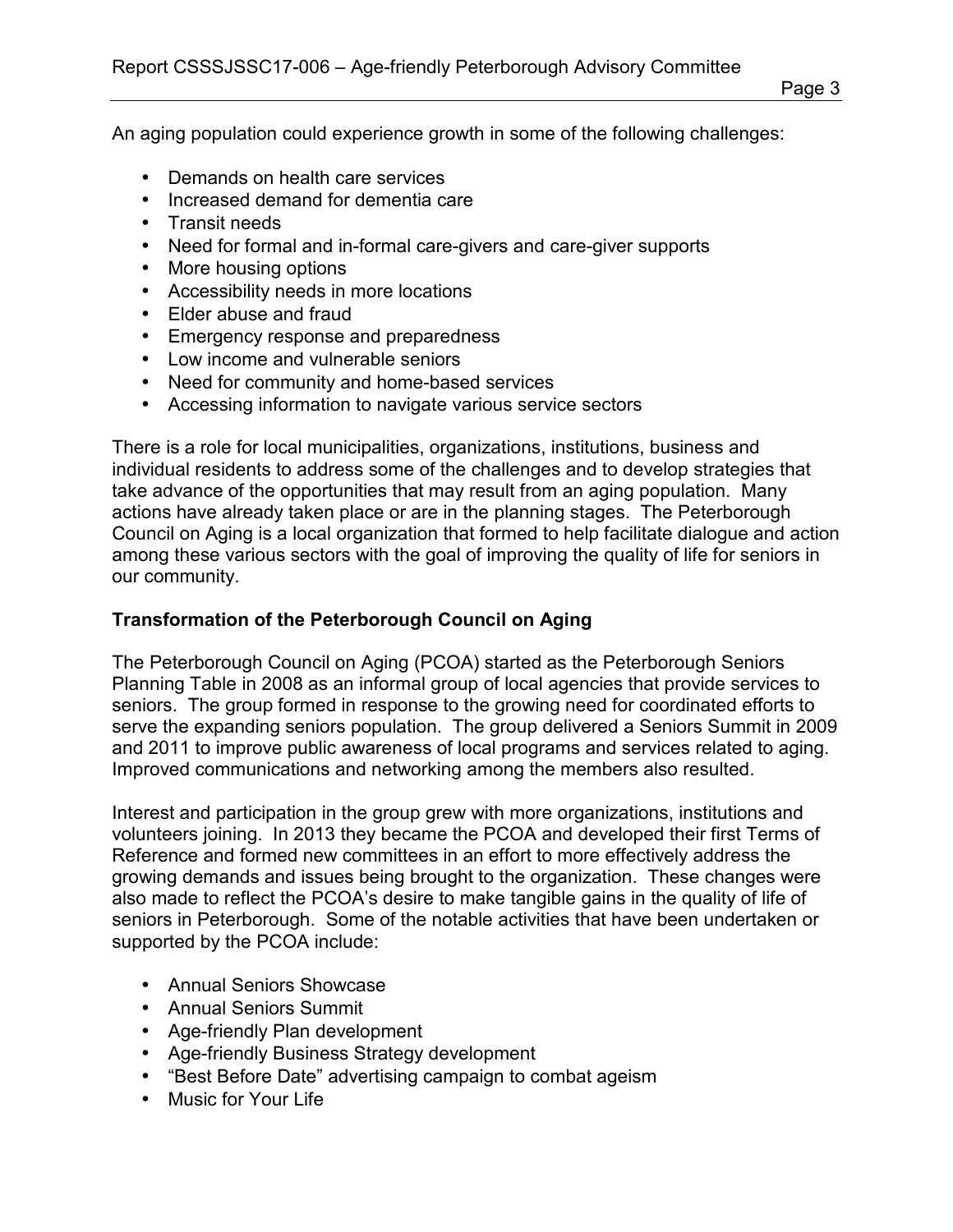An aging population could experience growth in some of the following challenges:

- Demands on health care services
- Increased demand for dementia care
- Transit needs
- Need for formal and in-formal care-givers and care-giver supports
- More housing options
- Accessibility needs in more locations
- Elder abuse and fraud
- Emergency response and preparedness
- Low income and vulnerable seniors
- Need for community and home-based services
- Accessing information to navigate various service sectors

There is a role for local municipalities, organizations, institutions, business and individual residents to address some of the challenges and to develop strategies that take advance of the opportunities that may result from an aging population. Many actions have already taken place or are in the planning stages. The Peterborough Council on Aging is a local organization that formed to help facilitate dialogue and action among these various sectors with the goal of improving the quality of life for seniors in our community.

#### **Transformation of the Peterborough Council on Aging**

The Peterborough Council on Aging (PCOA) started as the Peterborough Seniors Planning Table in 2008 as an informal group of local agencies that provide services to seniors. The group formed in response to the growing need for coordinated efforts to serve the expanding seniors population. The group delivered a Seniors Summit in 2009 and 2011 to improve public awareness of local programs and services related to aging. Improved communications and networking among the members also resulted.

Interest and participation in the group grew with more organizations, institutions and volunteers joining. In 2013 they became the PCOA and developed their first Terms of Reference and formed new committees in an effort to more effectively address the growing demands and issues being brought to the organization. These changes were also made to reflect the PCOA's desire to make tangible gains in the quality of life of seniors in Peterborough. Some of the notable activities that have been undertaken or supported by the PCOA include:

- Annual Seniors Showcase
- Annual Seniors Summit
- Age-friendly Plan development
- Age-friendly Business Strategy development
- "Best Before Date" advertising campaign to combat ageism
- Music for Your Life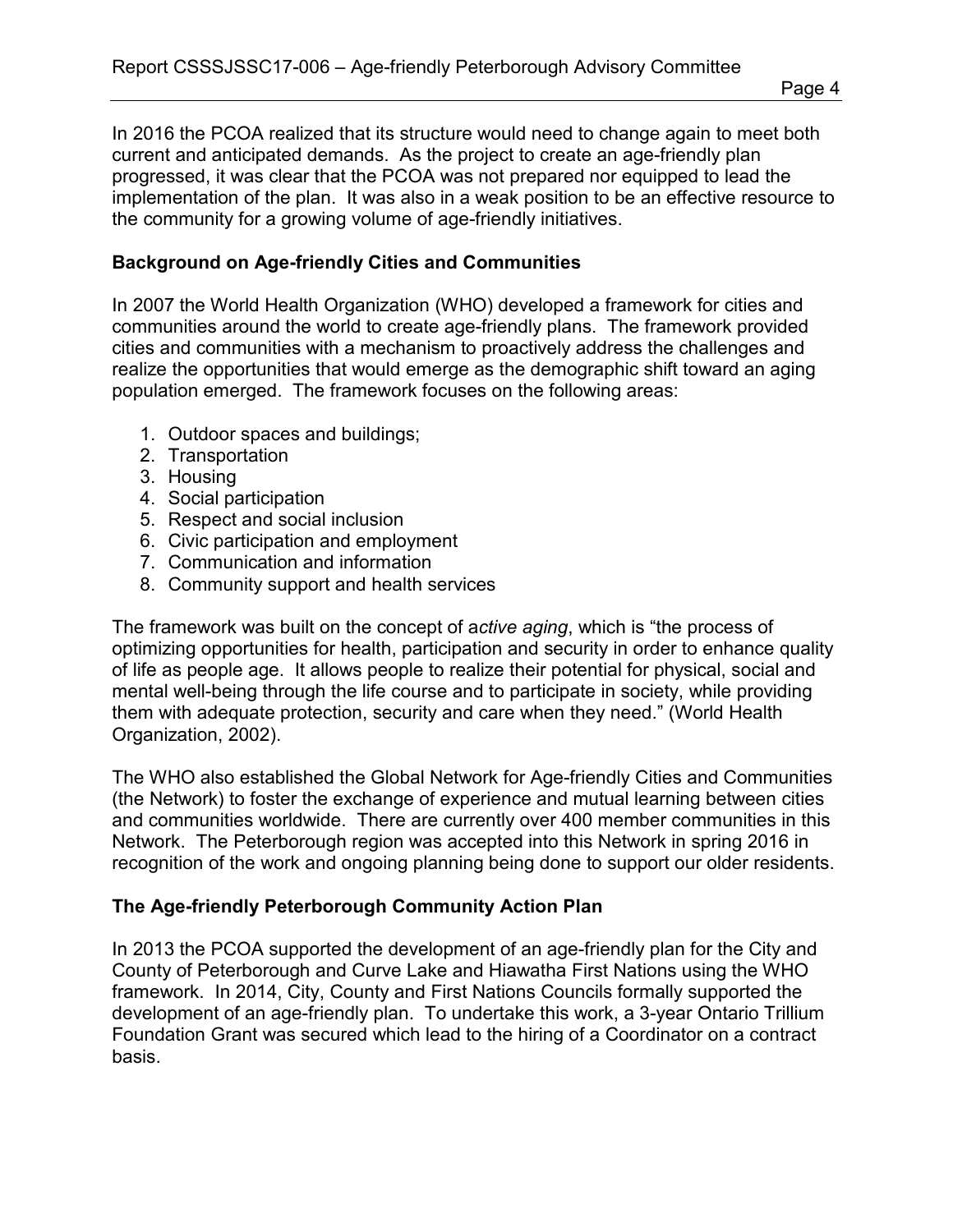In 2016 the PCOA realized that its structure would need to change again to meet both current and anticipated demands. As the project to create an age-friendly plan progressed, it was clear that the PCOA was not prepared nor equipped to lead the implementation of the plan. It was also in a weak position to be an effective resource to the community for a growing volume of age-friendly initiatives.

#### **Background on Age-friendly Cities and Communities**

In 2007 the World Health Organization (WHO) developed a framework for cities and communities around the world to create age-friendly plans. The framework provided cities and communities with a mechanism to proactively address the challenges and realize the opportunities that would emerge as the demographic shift toward an aging population emerged. The framework focuses on the following areas:

- 1. Outdoor spaces and buildings;
- 2. Transportation
- 3. Housing
- 4. Social participation
- 5. Respect and social inclusion
- 6. Civic participation and employment
- 7. Communication and information
- 8. Community support and health services

The framework was built on the concept of a*ctive aging*, which is "the process of optimizing opportunities for health, participation and security in order to enhance quality of life as people age. It allows people to realize their potential for physical, social and mental well-being through the life course and to participate in society, while providing them with adequate protection, security and care when they need." (World Health Organization, 2002).

The WHO also established the Global Network for Age-friendly Cities and Communities (the Network) to foster the exchange of experience and mutual learning between cities and communities worldwide. There are currently over 400 member communities in this Network. The Peterborough region was accepted into this Network in spring 2016 in recognition of the work and ongoing planning being done to support our older residents.

## **The Age-friendly Peterborough Community Action Plan**

In 2013 the PCOA supported the development of an age-friendly plan for the City and County of Peterborough and Curve Lake and Hiawatha First Nations using the WHO framework. In 2014, City, County and First Nations Councils formally supported the development of an age-friendly plan. To undertake this work, a 3-year Ontario Trillium Foundation Grant was secured which lead to the hiring of a Coordinator on a contract basis.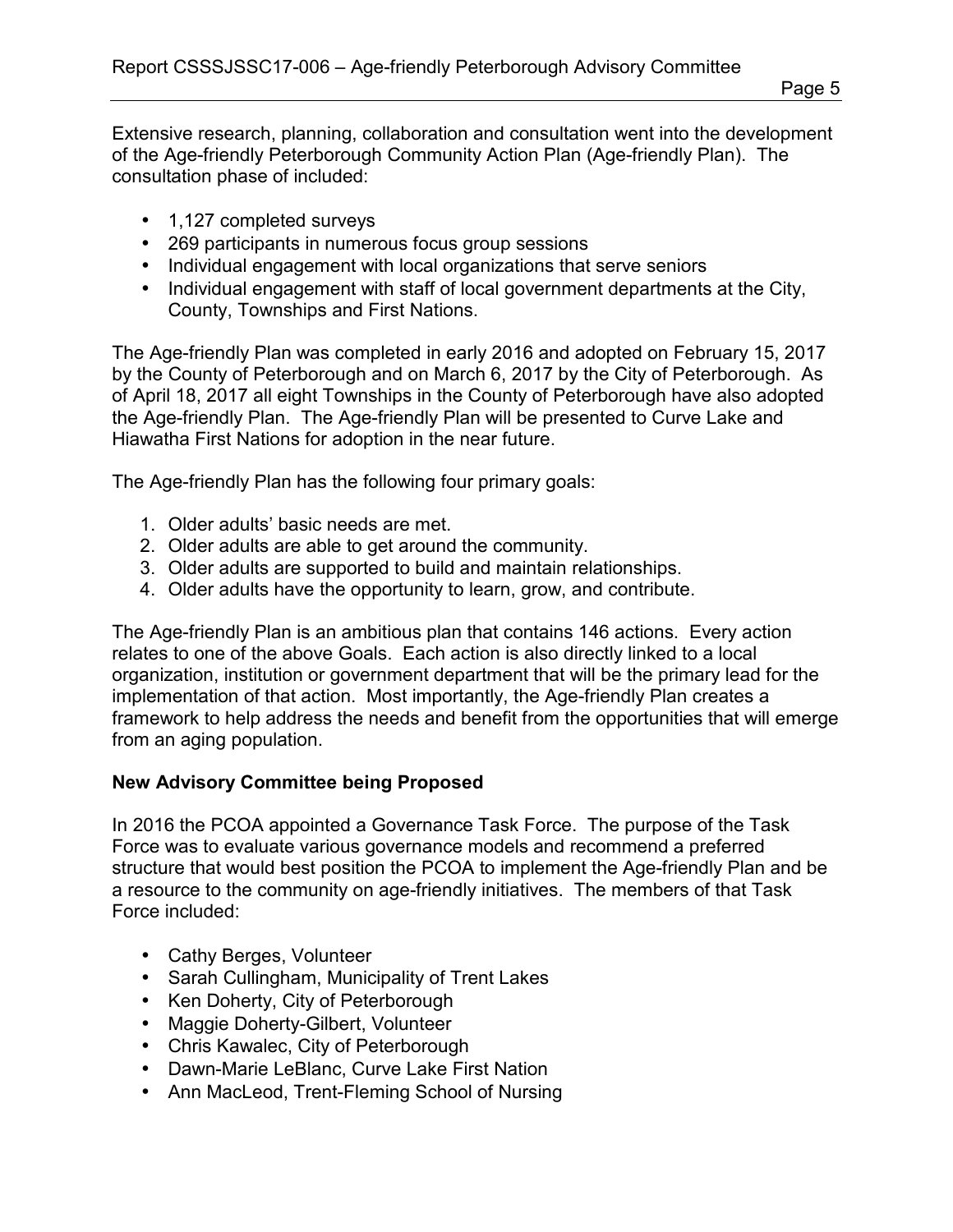Extensive research, planning, collaboration and consultation went into the development of the Age-friendly Peterborough Community Action Plan (Age-friendly Plan). The consultation phase of included:

- 1,127 completed surveys
- 269 participants in numerous focus group sessions
- Individual engagement with local organizations that serve seniors
- Individual engagement with staff of local government departments at the City, County, Townships and First Nations.

The Age-friendly Plan was completed in early 2016 and adopted on February 15, 2017 by the County of Peterborough and on March 6, 2017 by the City of Peterborough. As of April 18, 2017 all eight Townships in the County of Peterborough have also adopted the Age-friendly Plan. The Age-friendly Plan will be presented to Curve Lake and Hiawatha First Nations for adoption in the near future.

The Age-friendly Plan has the following four primary goals:

- 1. Older adults' basic needs are met.
- 2. Older adults are able to get around the community.
- 3. Older adults are supported to build and maintain relationships.
- 4. Older adults have the opportunity to learn, grow, and contribute.

The Age-friendly Plan is an ambitious plan that contains 146 actions. Every action relates to one of the above Goals. Each action is also directly linked to a local organization, institution or government department that will be the primary lead for the implementation of that action. Most importantly, the Age-friendly Plan creates a framework to help address the needs and benefit from the opportunities that will emerge from an aging population.

## **New Advisory Committee being Proposed**

In 2016 the PCOA appointed a Governance Task Force. The purpose of the Task Force was to evaluate various governance models and recommend a preferred structure that would best position the PCOA to implement the Age-friendly Plan and be a resource to the community on age-friendly initiatives. The members of that Task Force included:

- Cathy Berges, Volunteer
- Sarah Cullingham, Municipality of Trent Lakes
- Ken Doherty, City of Peterborough
- Maggie Doherty-Gilbert, Volunteer
- Chris Kawalec, City of Peterborough
- Dawn-Marie LeBlanc, Curve Lake First Nation
- Ann MacLeod, Trent-Fleming School of Nursing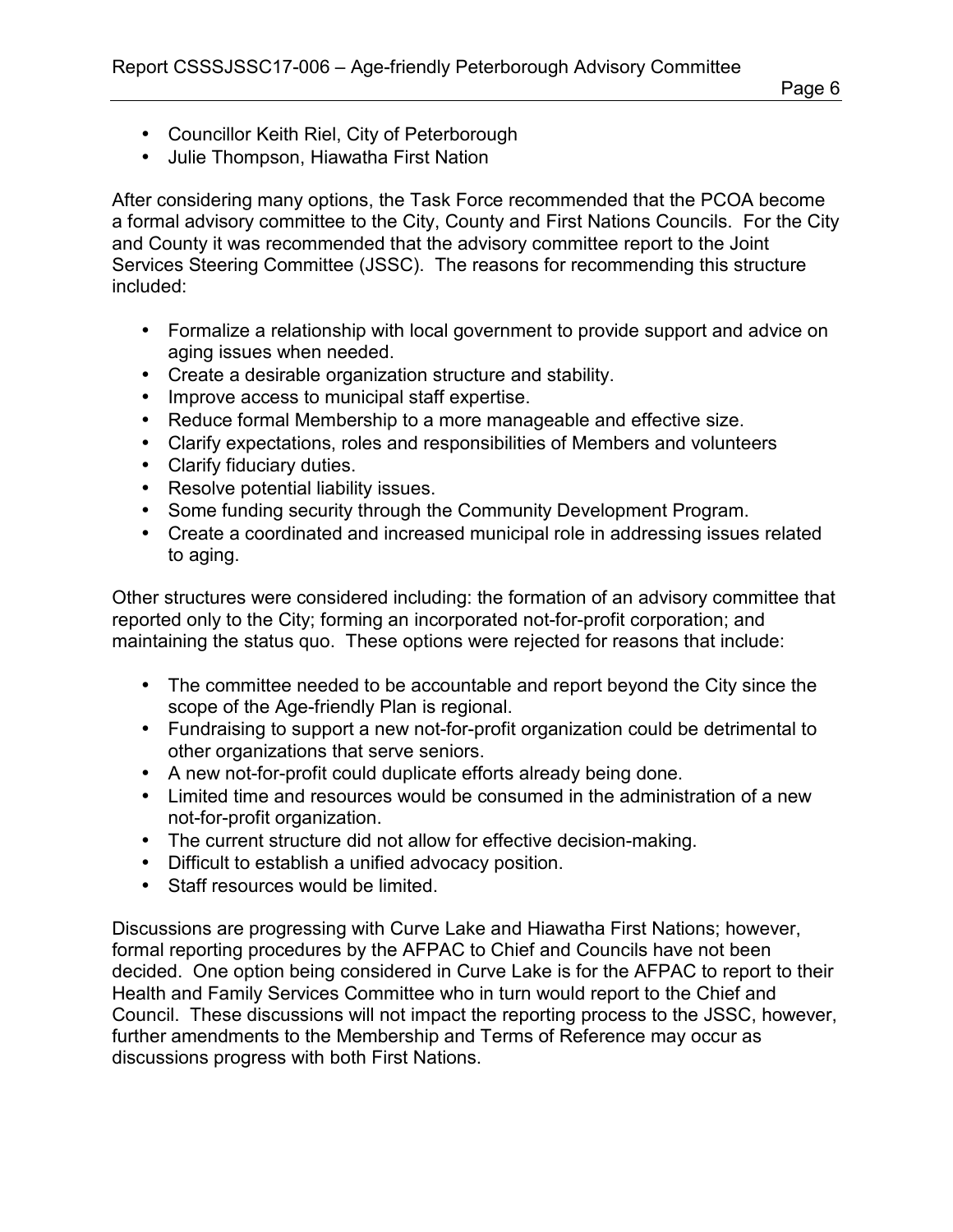- Councillor Keith Riel, City of Peterborough
- Julie Thompson, Hiawatha First Nation

After considering many options, the Task Force recommended that the PCOA become a formal advisory committee to the City, County and First Nations Councils. For the City and County it was recommended that the advisory committee report to the Joint Services Steering Committee (JSSC). The reasons for recommending this structure included:

- Formalize a relationship with local government to provide support and advice on aging issues when needed.
- Create a desirable organization structure and stability.
- Improve access to municipal staff expertise.
- Reduce formal Membership to a more manageable and effective size.
- Clarify expectations, roles and responsibilities of Members and volunteers
- Clarify fiduciary duties.
- Resolve potential liability issues.
- Some funding security through the Community Development Program.
- Create a coordinated and increased municipal role in addressing issues related to aging.

Other structures were considered including: the formation of an advisory committee that reported only to the City; forming an incorporated not-for-profit corporation; and maintaining the status quo. These options were rejected for reasons that include:

- The committee needed to be accountable and report beyond the City since the scope of the Age-friendly Plan is regional.
- Fundraising to support a new not-for-profit organization could be detrimental to other organizations that serve seniors.
- A new not-for-profit could duplicate efforts already being done.
- Limited time and resources would be consumed in the administration of a new not-for-profit organization.
- The current structure did not allow for effective decision-making.
- Difficult to establish a unified advocacy position.
- Staff resources would be limited.

Discussions are progressing with Curve Lake and Hiawatha First Nations; however, formal reporting procedures by the AFPAC to Chief and Councils have not been decided. One option being considered in Curve Lake is for the AFPAC to report to their Health and Family Services Committee who in turn would report to the Chief and Council. These discussions will not impact the reporting process to the JSSC, however, further amendments to the Membership and Terms of Reference may occur as discussions progress with both First Nations.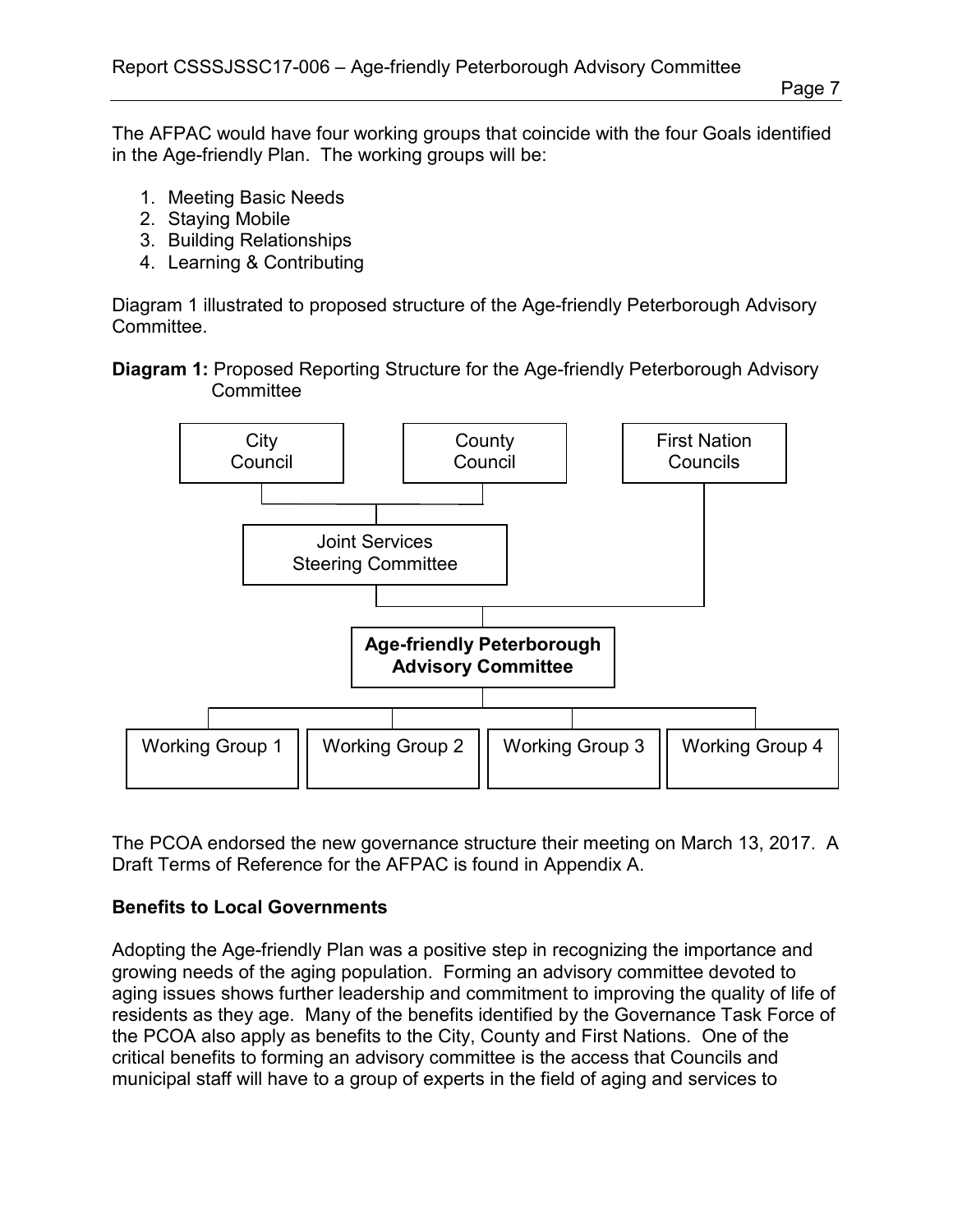The AFPAC would have four working groups that coincide with the four Goals identified in the Age-friendly Plan. The working groups will be:

- 1. Meeting Basic Needs
- 2. Staying Mobile
- 3. Building Relationships
- 4. Learning & Contributing

Diagram 1 illustrated to proposed structure of the Age-friendly Peterborough Advisory Committee.

**Diagram 1:** Proposed Reporting Structure for the Age-friendly Peterborough Advisory **Committee** 



The PCOA endorsed the new governance structure their meeting on March 13, 2017. A Draft Terms of Reference for the AFPAC is found in Appendix A.

#### **Benefits to Local Governments**

Adopting the Age-friendly Plan was a positive step in recognizing the importance and growing needs of the aging population. Forming an advisory committee devoted to aging issues shows further leadership and commitment to improving the quality of life of residents as they age. Many of the benefits identified by the Governance Task Force of the PCOA also apply as benefits to the City, County and First Nations. One of the critical benefits to forming an advisory committee is the access that Councils and municipal staff will have to a group of experts in the field of aging and services to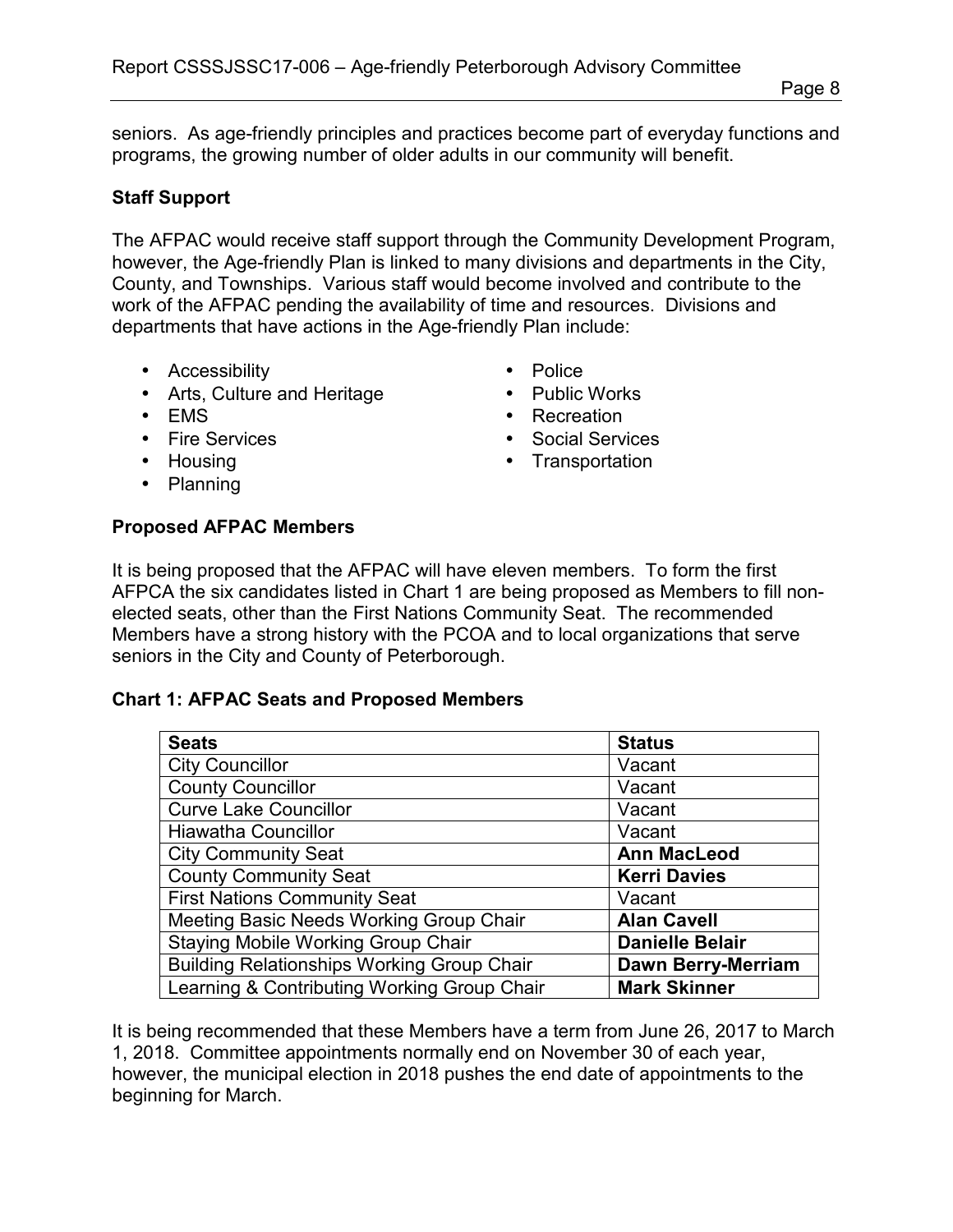seniors. As age-friendly principles and practices become part of everyday functions and programs, the growing number of older adults in our community will benefit.

## **Staff Support**

The AFPAC would receive staff support through the Community Development Program, however, the Age-friendly Plan is linked to many divisions and departments in the City, County, and Townships. Various staff would become involved and contribute to the work of the AFPAC pending the availability of time and resources. Divisions and departments that have actions in the Age-friendly Plan include:

- Accessibility
- Arts, Culture and Heritage
- EMS
- Fire Services
- Housing
- Planning
- Police
- Public Works
- Recreation
- Social Services
- Transportation

#### **Proposed AFPAC Members**

It is being proposed that the AFPAC will have eleven members. To form the first AFPCA the six candidates listed in Chart 1 are being proposed as Members to fill nonelected seats, other than the First Nations Community Seat. The recommended Members have a strong history with the PCOA and to local organizations that serve seniors in the City and County of Peterborough.

#### **Chart 1: AFPAC Seats and Proposed Members**

| <b>Seats</b>                                      | <b>Status</b>             |
|---------------------------------------------------|---------------------------|
| <b>City Councillor</b>                            | Vacant                    |
| <b>County Councillor</b>                          | Vacant                    |
| <b>Curve Lake Councillor</b>                      | Vacant                    |
| <b>Hiawatha Councillor</b>                        | Vacant                    |
| <b>City Community Seat</b>                        | <b>Ann MacLeod</b>        |
| <b>County Community Seat</b>                      | <b>Kerri Davies</b>       |
| <b>First Nations Community Seat</b>               | Vacant                    |
| Meeting Basic Needs Working Group Chair           | <b>Alan Cavell</b>        |
| <b>Staying Mobile Working Group Chair</b>         | <b>Danielle Belair</b>    |
| <b>Building Relationships Working Group Chair</b> | <b>Dawn Berry-Merriam</b> |
| Learning & Contributing Working Group Chair       | <b>Mark Skinner</b>       |

It is being recommended that these Members have a term from June 26, 2017 to March 1, 2018. Committee appointments normally end on November 30 of each year, however, the municipal election in 2018 pushes the end date of appointments to the beginning for March.